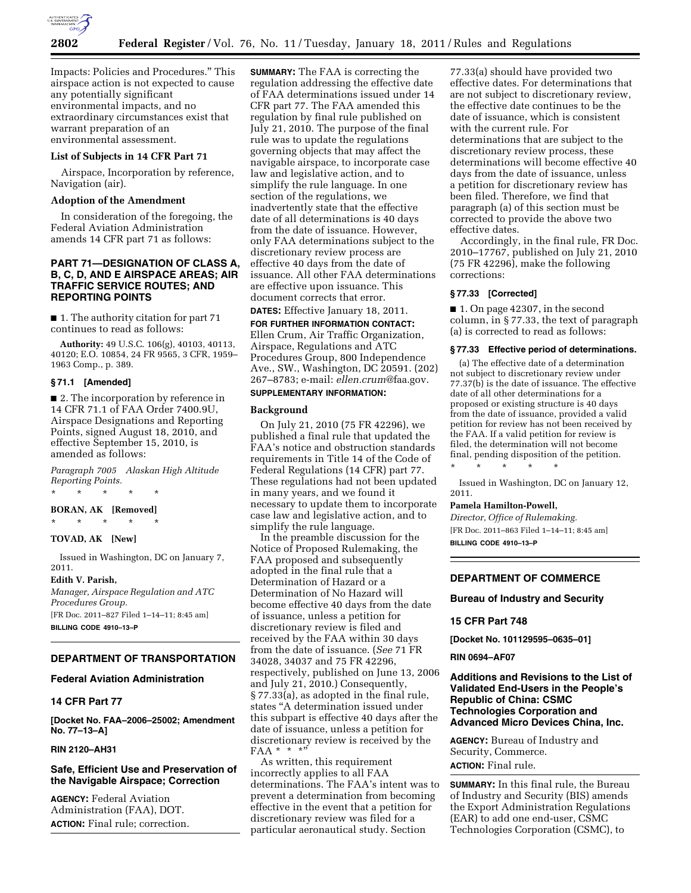

Impacts: Policies and Procedures.'' This airspace action is not expected to cause any potentially significant environmental impacts, and no extraordinary circumstances exist that warrant preparation of an environmental assessment.

# **List of Subjects in 14 CFR Part 71**

Airspace, Incorporation by reference, Navigation (air).

## **Adoption of the Amendment**

In consideration of the foregoing, the Federal Aviation Administration amends 14 CFR part 71 as follows:

# **PART 71—DESIGNATION OF CLASS A, B, C, D, AND E AIRSPACE AREAS; AIR TRAFFIC SERVICE ROUTES; AND REPORTING POINTS**

■ 1. The authority citation for part 71 continues to read as follows:

**Authority:** 49 U.S.C. 106(g), 40103, 40113, 40120; E.O. 10854, 24 FR 9565, 3 CFR, 1959– 1963 Comp., p. 389.

# **§ 71.1 [Amended]**

■ 2. The incorporation by reference in 14 CFR 71.1 of FAA Order 7400.9U, Airspace Designations and Reporting Points, signed August 18, 2010, and effective September 15, 2010, is amended as follows:

*Paragraph 7005 Alaskan High Altitude Reporting Points.* 

\* \* \* \* \*

# **BORAN, AK [Removed]**

\* \* \* \* \*

# **TOVAD, AK [New]**

Issued in Washington, DC on January 7, 2011.

**Edith V. Parish,**  *Manager, Airspace Regulation and ATC Procedures Group.*  [FR Doc. 2011–827 Filed 1–14–11; 8:45 am] **BILLING CODE 4910–13–P** 

# **DEPARTMENT OF TRANSPORTATION**

## **Federal Aviation Administration**

## **14 CFR Part 77**

**[Docket No. FAA–2006–25002; Amendment No. 77–13–A]** 

## **RIN 2120–AH31**

# **Safe, Efficient Use and Preservation of the Navigable Airspace; Correction**

**AGENCY:** Federal Aviation Administration (FAA), DOT. **ACTION:** Final rule; correction.

**SUMMARY:** The FAA is correcting the regulation addressing the effective date of FAA determinations issued under 14 CFR part 77. The FAA amended this regulation by final rule published on July 21, 2010. The purpose of the final rule was to update the regulations governing objects that may affect the navigable airspace, to incorporate case law and legislative action, and to simplify the rule language. In one section of the regulations, we inadvertently state that the effective date of all determinations is 40 days from the date of issuance. However, only FAA determinations subject to the discretionary review process are effective 40 days from the date of issuance. All other FAA determinations are effective upon issuance. This document corrects that error. **DATES:** Effective January 18, 2011.

**FOR FURTHER INFORMATION CONTACT:**  Ellen Crum, Air Traffic Organization, Airspace, Regulations and ATC Procedures Group, 800 Independence Ave., SW., Washington, DC 20591. (202) 267–8783; e-mail: *[ellen.crum@](mailto:ellen.crum@faa.gov)*faa.gov.

# **SUPPLEMENTARY INFORMATION:**

## **Background**

On July 21, 2010 (75 FR 42296), we published a final rule that updated the FAA's notice and obstruction standards requirements in Title 14 of the Code of Federal Regulations (14 CFR) part 77. These regulations had not been updated in many years, and we found it necessary to update them to incorporate case law and legislative action, and to simplify the rule language.

In the preamble discussion for the Notice of Proposed Rulemaking, the FAA proposed and subsequently adopted in the final rule that a Determination of Hazard or a Determination of No Hazard will become effective 40 days from the date of issuance, unless a petition for discretionary review is filed and received by the FAA within 30 days from the date of issuance. (*See* 71 FR 34028, 34037 and 75 FR 42296, respectively, published on June 13, 2006 and July 21, 2010.) Consequently, § 77.33(a), as adopted in the final rule, states ''A determination issued under this subpart is effective 40 days after the date of issuance, unless a petition for discretionary review is received by the  $FAA * * * "$ 

As written, this requirement incorrectly applies to all FAA determinations. The FAA's intent was to prevent a determination from becoming effective in the event that a petition for discretionary review was filed for a particular aeronautical study. Section

77.33(a) should have provided two effective dates. For determinations that are not subject to discretionary review, the effective date continues to be the date of issuance, which is consistent with the current rule. For determinations that are subject to the discretionary review process, these determinations will become effective 40 days from the date of issuance, unless a petition for discretionary review has been filed. Therefore, we find that paragraph (a) of this section must be corrected to provide the above two effective dates.

Accordingly, in the final rule, FR Doc. 2010–17767, published on July 21, 2010 (75 FR 42296), make the following corrections:

#### **§ 77.33 [Corrected]**

■ 1. On page 42307, in the second column, in § 77.33, the text of paragraph (a) is corrected to read as follows:

#### **§ 77.33 Effective period of determinations.**

(a) The effective date of a determination not subject to discretionary review under 77.37(b) is the date of issuance. The effective date of all other determinations for a proposed or existing structure is 40 days from the date of issuance, provided a valid petition for review has not been received by the FAA. If a valid petition for review is filed, the determination will not become final, pending disposition of the petition. \* \* \* \* \*

Issued in Washington, DC on January 12, 2011.

#### **Pamela Hamilton-Powell,**

*Director, Office of Rulemaking.*  [FR Doc. 2011–863 Filed 1–14–11; 8:45 am]

**BILLING CODE 4910–13–P** 

# **DEPARTMENT OF COMMERCE**

## **Bureau of Industry and Security**

#### **15 CFR Part 748**

**[Docket No. 101129595–0635–01]** 

## **RIN 0694–AF07**

**Additions and Revisions to the List of Validated End-Users in the People's Republic of China: CSMC Technologies Corporation and Advanced Micro Devices China, Inc.** 

**AGENCY:** Bureau of Industry and Security, Commerce. **ACTION:** Final rule.

**SUMMARY:** In this final rule, the Bureau of Industry and Security (BIS) amends the Export Administration Regulations (EAR) to add one end-user, CSMC Technologies Corporation (CSMC), to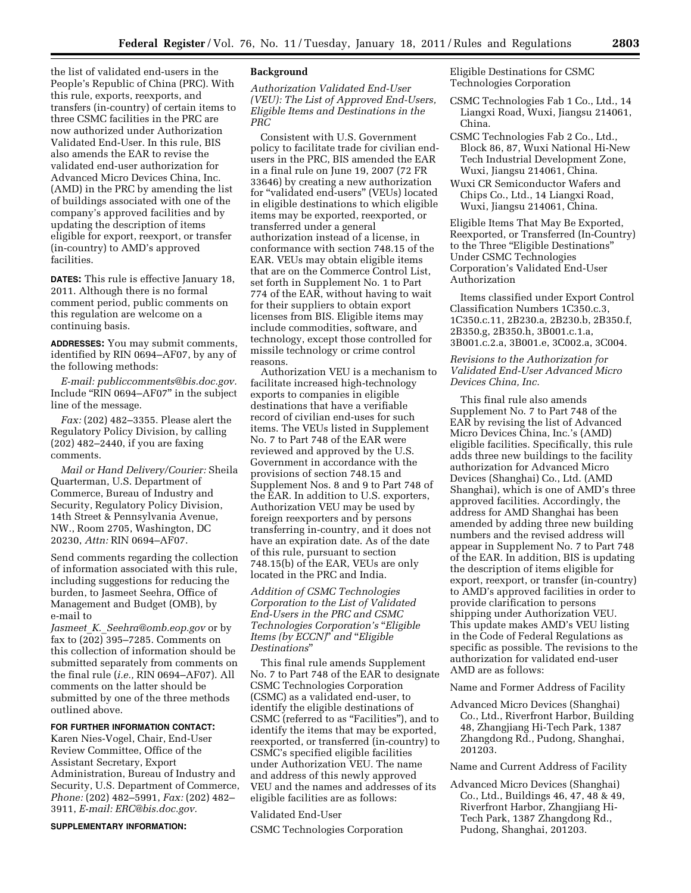the list of validated end-users in the People's Republic of China (PRC). With this rule, exports, reexports, and transfers (in-country) of certain items to three CSMC facilities in the PRC are now authorized under Authorization Validated End-User. In this rule, BIS also amends the EAR to revise the validated end-user authorization for Advanced Micro Devices China, Inc. (AMD) in the PRC by amending the list of buildings associated with one of the company's approved facilities and by updating the description of items eligible for export, reexport, or transfer (in-country) to AMD's approved facilities.

**DATES:** This rule is effective January 18, 2011. Although there is no formal comment period, public comments on this regulation are welcome on a continuing basis.

**ADDRESSES:** You may submit comments, identified by RIN 0694–AF07, by any of the following methods:

*E-mail: [publiccomments@bis.doc.gov.](mailto:publiccomments@bis.doc.gov)*  Include ''RIN 0694–AF07'' in the subject line of the message.

*Fax:* (202) 482–3355. Please alert the Regulatory Policy Division, by calling (202) 482–2440, if you are faxing comments.

*Mail or Hand Delivery/Courier:* Sheila Quarterman, U.S. Department of Commerce, Bureau of Industry and Security, Regulatory Policy Division, 14th Street & Pennsylvania Avenue, NW., Room 2705, Washington, DC 20230, *Attn:* RIN 0694–AF07.

Send comments regarding the collection of information associated with this rule, including suggestions for reducing the burden, to Jasmeet Seehra, Office of Management and Budget (OMB), by e-mail to

*Jasmeet*\_*K.*\_*[Seehra@omb.eop.gov](mailto:Jasmeet_K._Seehra@omb.eop.gov)* or by fax to (202) 395–7285. Comments on this collection of information should be submitted separately from comments on the final rule (*i.e.,* RIN 0694–AF07). All comments on the latter should be submitted by one of the three methods outlined above.

# **FOR FURTHER INFORMATION CONTACT:**

Karen Nies-Vogel, Chair, End-User Review Committee, Office of the Assistant Secretary, Export Administration, Bureau of Industry and Security, U.S. Department of Commerce, *Phone:* (202) 482–5991, *Fax:* (202) 482– 3911, *E-mail: [ERC@bis.doc.gov.](mailto:ERC@bis.doc.gov)* 

#### **SUPPLEMENTARY INFORMATION:**

## **Background**

*Authorization Validated End-User (VEU): The List of Approved End-Users, Eligible Items and Destinations in the PRC* 

Consistent with U.S. Government policy to facilitate trade for civilian endusers in the PRC, BIS amended the EAR in a final rule on June 19, 2007 (72 FR 33646) by creating a new authorization for ''validated end-users'' (VEUs) located in eligible destinations to which eligible items may be exported, reexported, or transferred under a general authorization instead of a license, in conformance with section 748.15 of the EAR. VEUs may obtain eligible items that are on the Commerce Control List, set forth in Supplement No. 1 to Part 774 of the EAR, without having to wait for their suppliers to obtain export licenses from BIS. Eligible items may include commodities, software, and technology, except those controlled for missile technology or crime control reasons.

Authorization VEU is a mechanism to facilitate increased high-technology exports to companies in eligible destinations that have a verifiable record of civilian end-uses for such items. The VEUs listed in Supplement No. 7 to Part 748 of the EAR were reviewed and approved by the U.S. Government in accordance with the provisions of section 748.15 and Supplement Nos. 8 and 9 to Part 748 of the EAR. In addition to U.S. exporters, Authorization VEU may be used by foreign reexporters and by persons transferring in-country, and it does not have an expiration date. As of the date of this rule, pursuant to section 748.15(b) of the EAR, VEUs are only located in the PRC and India.

*Addition of CSMC Technologies Corporation to the List of Validated End-Users in the PRC and CSMC Technologies Corporation's* ''*Eligible Items (by ECCN)*'' *and* ''*Eligible Destinations*''

This final rule amends Supplement No. 7 to Part 748 of the EAR to designate CSMC Technologies Corporation (CSMC) as a validated end-user, to identify the eligible destinations of CSMC (referred to as ''Facilities''), and to identify the items that may be exported, reexported, or transferred (in-country) to CSMC's specified eligible facilities under Authorization VEU. The name and address of this newly approved VEU and the names and addresses of its eligible facilities are as follows:

Validated End-User

CSMC Technologies Corporation

Eligible Destinations for CSMC Technologies Corporation

- CSMC Technologies Fab 1 Co., Ltd., 14 Liangxi Road, Wuxi, Jiangsu 214061, China.
- CSMC Technologies Fab 2 Co., Ltd., Block 86, 87, Wuxi National Hi-New Tech Industrial Development Zone, Wuxi, Jiangsu 214061, China.
- Wuxi CR Semiconductor Wafers and Chips Co., Ltd., 14 Liangxi Road, Wuxi, Jiangsu 214061, China.

Eligible Items That May Be Exported, Reexported, or Transferred (In-Country) to the Three "Eligible Destinations" Under CSMC Technologies Corporation's Validated End-User Authorization

Items classified under Export Control Classification Numbers 1C350.c.3, 1C350.c.11, 2B230.a, 2B230.b, 2B350.f, 2B350.g, 2B350.h, 3B001.c.1.a, 3B001.c.2.a, 3B001.e, 3C002.a, 3C004.

*Revisions to the Authorization for Validated End-User Advanced Micro Devices China, Inc.* 

This final rule also amends Supplement No. 7 to Part 748 of the EAR by revising the list of Advanced Micro Devices China, Inc.'s (AMD) eligible facilities. Specifically, this rule adds three new buildings to the facility authorization for Advanced Micro Devices (Shanghai) Co., Ltd. (AMD Shanghai), which is one of AMD's three approved facilities. Accordingly, the address for AMD Shanghai has been amended by adding three new building numbers and the revised address will appear in Supplement No. 7 to Part 748 of the EAR. In addition, BIS is updating the description of items eligible for export, reexport, or transfer (in-country) to AMD's approved facilities in order to provide clarification to persons shipping under Authorization VEU. This update makes AMD's VEU listing in the Code of Federal Regulations as specific as possible. The revisions to the authorization for validated end-user AMD are as follows:

Name and Former Address of Facility

Advanced Micro Devices (Shanghai) Co., Ltd., Riverfront Harbor, Building 48, Zhangjiang Hi-Tech Park, 1387 Zhangdong Rd., Pudong, Shanghai, 201203.

Name and Current Address of Facility

Advanced Micro Devices (Shanghai) Co., Ltd., Buildings 46, 47, 48 & 49, Riverfront Harbor, Zhangjiang Hi-Tech Park, 1387 Zhangdong Rd., Pudong, Shanghai, 201203.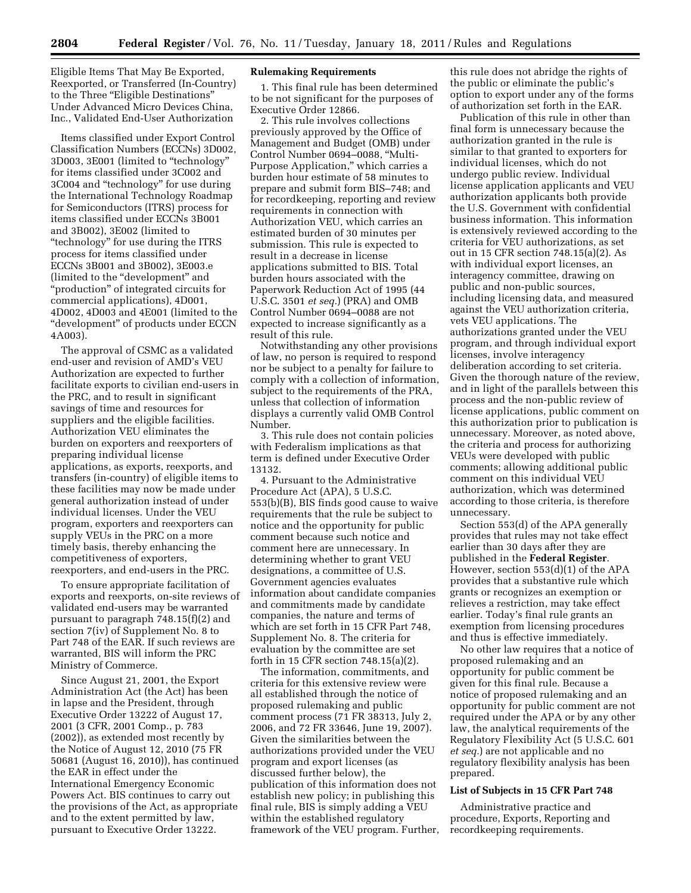Eligible Items That May Be Exported, Reexported, or Transferred (In-Country) to the Three "Eligible Destinations" Under Advanced Micro Devices China, Inc., Validated End-User Authorization

Items classified under Export Control Classification Numbers (ECCNs) 3D002, 3D003, 3E001 (limited to ''technology'' for items classified under 3C002 and 3C004 and ''technology'' for use during the International Technology Roadmap for Semiconductors (ITRS) process for items classified under ECCNs 3B001 and 3B002), 3E002 (limited to ''technology'' for use during the ITRS process for items classified under ECCNs 3B001 and 3B002), 3E003.e (limited to the ''development'' and ''production'' of integrated circuits for commercial applications), 4D001, 4D002, 4D003 and 4E001 (limited to the ''development'' of products under ECCN 4A003).

The approval of CSMC as a validated end-user and revision of AMD's VEU Authorization are expected to further facilitate exports to civilian end-users in the PRC, and to result in significant savings of time and resources for suppliers and the eligible facilities. Authorization VEU eliminates the burden on exporters and reexporters of preparing individual license applications, as exports, reexports, and transfers (in-country) of eligible items to these facilities may now be made under general authorization instead of under individual licenses. Under the VEU program, exporters and reexporters can supply VEUs in the PRC on a more timely basis, thereby enhancing the competitiveness of exporters, reexporters, and end-users in the PRC.

To ensure appropriate facilitation of exports and reexports, on-site reviews of validated end-users may be warranted pursuant to paragraph 748.15(f)(2) and section 7(iv) of Supplement No. 8 to Part 748 of the EAR. If such reviews are warranted, BIS will inform the PRC Ministry of Commerce.

Since August 21, 2001, the Export Administration Act (the Act) has been in lapse and the President, through Executive Order 13222 of August 17, 2001 (3 CFR, 2001 Comp., p. 783 (2002)), as extended most recently by the Notice of August 12, 2010 (75 FR 50681 (August 16, 2010)), has continued the EAR in effect under the International Emergency Economic Powers Act. BIS continues to carry out the provisions of the Act, as appropriate and to the extent permitted by law, pursuant to Executive Order 13222.

## **Rulemaking Requirements**

1. This final rule has been determined to be not significant for the purposes of Executive Order 12866.

2. This rule involves collections previously approved by the Office of Management and Budget (OMB) under Control Number 0694–0088, ''Multi-Purpose Application,'' which carries a burden hour estimate of 58 minutes to prepare and submit form BIS–748; and for recordkeeping, reporting and review requirements in connection with Authorization VEU, which carries an estimated burden of 30 minutes per submission. This rule is expected to result in a decrease in license applications submitted to BIS. Total burden hours associated with the Paperwork Reduction Act of 1995 (44 U.S.C. 3501 *et seq.*) (PRA) and OMB Control Number 0694–0088 are not expected to increase significantly as a result of this rule.

Notwithstanding any other provisions of law, no person is required to respond nor be subject to a penalty for failure to comply with a collection of information, subject to the requirements of the PRA, unless that collection of information displays a currently valid OMB Control Number.

3. This rule does not contain policies with Federalism implications as that term is defined under Executive Order 13132.

4. Pursuant to the Administrative Procedure Act (APA), 5 U.S.C. 553(b)(B), BIS finds good cause to waive requirements that the rule be subject to notice and the opportunity for public comment because such notice and comment here are unnecessary. In determining whether to grant VEU designations, a committee of U.S. Government agencies evaluates information about candidate companies and commitments made by candidate companies, the nature and terms of which are set forth in 15 CFR Part 748, Supplement No. 8. The criteria for evaluation by the committee are set forth in 15 CFR section 748.15(a)(2).

The information, commitments, and criteria for this extensive review were all established through the notice of proposed rulemaking and public comment process (71 FR 38313, July 2, 2006, and 72 FR 33646, June 19, 2007). Given the similarities between the authorizations provided under the VEU program and export licenses (as discussed further below), the publication of this information does not establish new policy; in publishing this final rule, BIS is simply adding a VEU within the established regulatory framework of the VEU program. Further,

this rule does not abridge the rights of the public or eliminate the public's option to export under any of the forms of authorization set forth in the EAR.

Publication of this rule in other than final form is unnecessary because the authorization granted in the rule is similar to that granted to exporters for individual licenses, which do not undergo public review. Individual license application applicants and VEU authorization applicants both provide the U.S. Government with confidential business information. This information is extensively reviewed according to the criteria for VEU authorizations, as set out in 15 CFR section 748.15(a)(2). As with individual export licenses, an interagency committee, drawing on public and non-public sources, including licensing data, and measured against the VEU authorization criteria, vets VEU applications. The authorizations granted under the VEU program, and through individual export licenses, involve interagency deliberation according to set criteria. Given the thorough nature of the review, and in light of the parallels between this process and the non-public review of license applications, public comment on this authorization prior to publication is unnecessary. Moreover, as noted above, the criteria and process for authorizing VEUs were developed with public comments; allowing additional public comment on this individual VEU authorization, which was determined according to those criteria, is therefore unnecessary.

Section 553(d) of the APA generally provides that rules may not take effect earlier than 30 days after they are published in the **Federal Register**. However, section 553(d)(1) of the APA provides that a substantive rule which grants or recognizes an exemption or relieves a restriction, may take effect earlier. Today's final rule grants an exemption from licensing procedures and thus is effective immediately.

No other law requires that a notice of proposed rulemaking and an opportunity for public comment be given for this final rule. Because a notice of proposed rulemaking and an opportunity for public comment are not required under the APA or by any other law, the analytical requirements of the Regulatory Flexibility Act (5 U.S.C. 601 *et seq.*) are not applicable and no regulatory flexibility analysis has been prepared.

#### **List of Subjects in 15 CFR Part 748**

Administrative practice and procedure, Exports, Reporting and recordkeeping requirements.